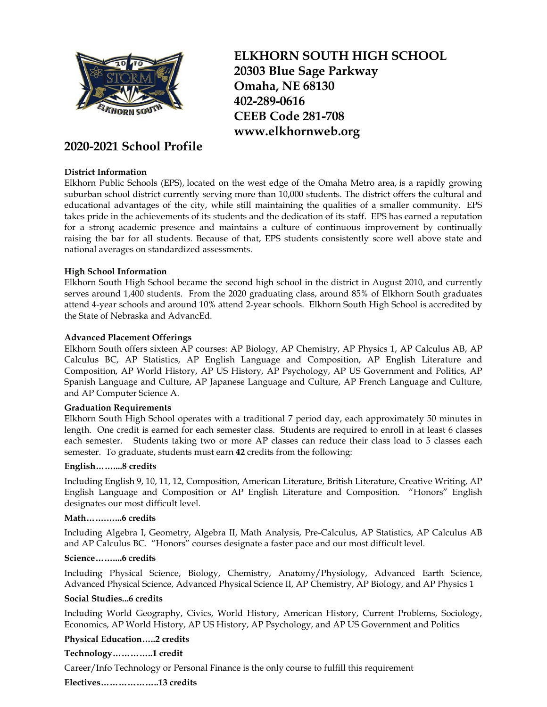

# **2020-2021 School Profile**

## **District Information**

**ELKHORN SOUTH HIGH SCHOOL 20303 Blue Sage Parkway Omaha, NE 68130 402-289-0616 CEEB Code 281-708 [www.elkhornweb.org](http://www.elkhornweb.org/)**

Elkhorn Public Schools (EPS), located on the west edge of the Omaha Metro area, is a rapidly growing suburban school district currently serving more than 10,000 students. The district offers the cultural and educational advantages of the city, while still maintaining the qualities of a smaller community. EPS takes pride in the achievements of its students and the dedication of its staff. EPS has earned a reputation for a strong academic presence and maintains a culture of continuous improvement by continually raising the bar for all students. Because of that, EPS students consistently score well above state and national averages on standardized assessments.

## **High School Information**

Elkhorn South High School became the second high school in the district in August 2010, and currently serves around 1,400 students. From the 2020 graduating class, around 85% of Elkhorn South graduates attend 4-year schools and around 10% attend 2-year schools. Elkhorn South High School is accredited by the State of Nebraska and AdvancEd.

## **Advanced Placement Offerings**

Elkhorn South offers sixteen AP courses: AP Biology, AP Chemistry, AP Physics 1, AP Calculus AB, AP Calculus BC, AP Statistics, AP English Language and Composition, AP English Literature and Composition, AP World History, AP US History, AP Psychology, AP US Government and Politics, AP Spanish Language and Culture, AP Japanese Language and Culture, AP French Language and Culture, and AP Computer Science A.

## **Graduation Requirements**

Elkhorn South High School operates with a traditional 7 period day, each approximately 50 minutes in length. One credit is earned for each semester class. Students are required to enroll in at least 6 classes each semester. Students taking two or more AP classes can reduce their class load to 5 classes each semester. To graduate, students must earn **42** credits from the following:

## **English……....8 credits**

Including English 9, 10, 11, 12, Composition, American Literature, British Literature, Creative Writing, AP English Language and Composition or AP English Literature and Composition. "Honors" English designates our most difficult level.

## **Math…….…...6 credits**

Including Algebra I, Geometry, Algebra II, Math Analysis, Pre-Calculus, AP Statistics, AP Calculus AB and AP Calculus BC. "Honors" courses designate a faster pace and our most difficult level.

## **Science……....6 credits**

Including Physical Science, Biology, Chemistry, Anatomy/Physiology, Advanced Earth Science, Advanced Physical Science, Advanced Physical Science II, AP Chemistry, AP Biology, and AP Physics 1

## **Social Studies...6 credits**

Including World Geography, Civics, World History, American History, Current Problems, Sociology, Economics, AP World History, AP US History, AP Psychology, and AP US Government and Politics

## **Physical Education…..2 credits**

## **Technology…………..1 credit**

Career/Info Technology or Personal Finance is the only course to fulfill this requirement

**Electives………………..13 credits**